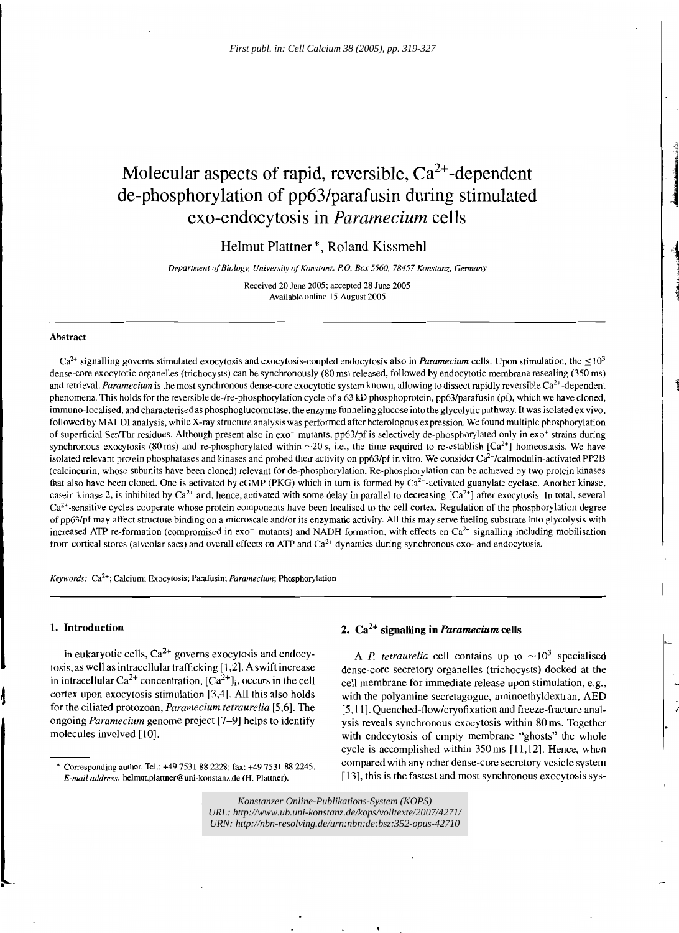# Molecular aspects of rapid, reversible,  $Ca^{2+}$ -dependent de-phosphorylation of pp63/parafusin during stimulated exo-endocytosis in *Paramecium* cells

Helmut Plattner \*, Roland Kissmehl

*Department of Biology, University of Konstanz, P.O. Box 5560, 78457 Konstanz, Germany* 

Received 20 June 2005; accepted 28 June 2005 Available online 15 August 2005

#### Abstract

 $Ca<sup>2+</sup>$  signalling governs stimulated exocytosis and exocytosis-coupled endocytosis also in *Paramecium* cells. Upon stimulation, the  $\leq 10<sup>3</sup>$ dense-core exocytotic organelles (trichocysts) can be synchronously (80 ms) released, followed by endocytotic membrane resealing (350 ms) and retrieval. *Paramecium* is the most synchronous dense-core exocytotic system known, allowing to dissect rapidly reversible Ca<sup>2+</sup>-dependent phenomena. This holds for the reversible de-/re-phosphorylation cycle of a 63 kD phosphoprotein, pp63/parafusin (pf), which we have cloned, immuno-Iocalised, and characterised as phosphoglucomutase. the enzyme funneling glucose into the glycolytic pathway. It was isolated ex vivo. followed by MALDl analysis, while X-ray structure analysis was performed after heterologous expression. We found multiple phosphorylation of superficial SerlThr residues. Although present also in exo- mutants. pp63/pf is selectively de-phosphorylated only in exo+ strains during synchronous exocytosis (80 ms) and re-phosphorylated within  $\sim$ 20 s, i.e., the time required to re-establish  $[Ca^{2+}]$  homeostasis. We have isolated relevant protein phosphatases and kinases and probed their activity on  $pp63/pf$  in vitro. We consider  $Ca^{2+}/cal$ ndmodulin-activated PP2B (calcineurin, whose subunits have been cloned) relevant for de-phosphorylation. Re-phosphorylation can be achieved by two protein kinases that also have been cloned. One is activated by cGMP (PKG) which in turn is formed by  $Ca^{2+}$ -activated guanylate cyclase. Another kinase, casein kinase 2, is inhibited by Ca<sup>2+</sup> and, hence, activated with some delay in parallel to decreasing  $[Ca^{2+}]$  after exocytosis. In total, several  $Ca<sup>2+</sup>$ -sensitive cycles cooperate whose protein components have been localised to the cell cortex. Regulation of the phosphorylation degree of pp63/pf may affect structure binding on a microscale and/or its enzymatic activity. All this may serve fueling substrate into glycolysis with increased ATP re-formation (compromised in  $\text{ex}$ <sup>-</sup> mutants) and NADH formation, with effects on  $\text{Ca}^{2+}$  signalling including mobilisation from cortical stores (alveolar sacs) and overall effects on ATP and  $Ca<sup>2+</sup>$  dynamics during synchronous exo- and endocytosis.

*Keywords:* Ca<sup>2+</sup>; Calcium; Exocytosis; Parafusin; *Paramecium*; Phosphorylation

#### 1. Introduction

In eukaryotic cells,  $Ca^{2+}$  governs exocytosis and endocytosis, as well as intracellular trafficking [1,2]. A swift increase in intracellular  $Ca^{2+}$  concentration,  $[Ca^{2+}]\text{j}$ , occurs in the cell cortex upon exocytosis stimulation [3,4]. All this also holds for the ciliated protozoan, *Paramecium tetraurelia* [5,6]. The ongoing *Paramecium* genome project [7-9] helps to identify molecules involved [10].

# 2. Ca2+ signalling in *Paramecium* cells

A *P. tetraurelia* cell contains up to  $\sim 10^3$  specialised dense-core secretory organelles (trichocysts) docked at the cell membrane for immediate release upon stimulation, e.g., with the polyamine secretagogue, aminoethyldextran, AED [5, 11]. Quenched-flow/cryofixation and freeze-fracture analysis reveals synchronous exocytosis within 80 ms. Together with endocytosis of empty membrane "ghosts" the whole cycle is accomplished within 350ms [11,12]. Hence, when compared with any other dense-core secretory vesicle system [13], this is the fastest and most synchronous exocytosis sys-

**1431-4160.** *Konstanzer Online-Publikations-System (KOPS) URL:<http://www.ub.uni-konstanz.de/kops/volltexte/2007/4271/> URN:<http://nbn-resolving.de/urn:nbn:de:bsz:352-opus-42710>*

<sup>\*</sup> Corresponding author. Tel.: +49 7531 882228; fax: +49 7531 882245. *E-mail address: helmut.plattner@uni-konstanz.de (H. Plattner).*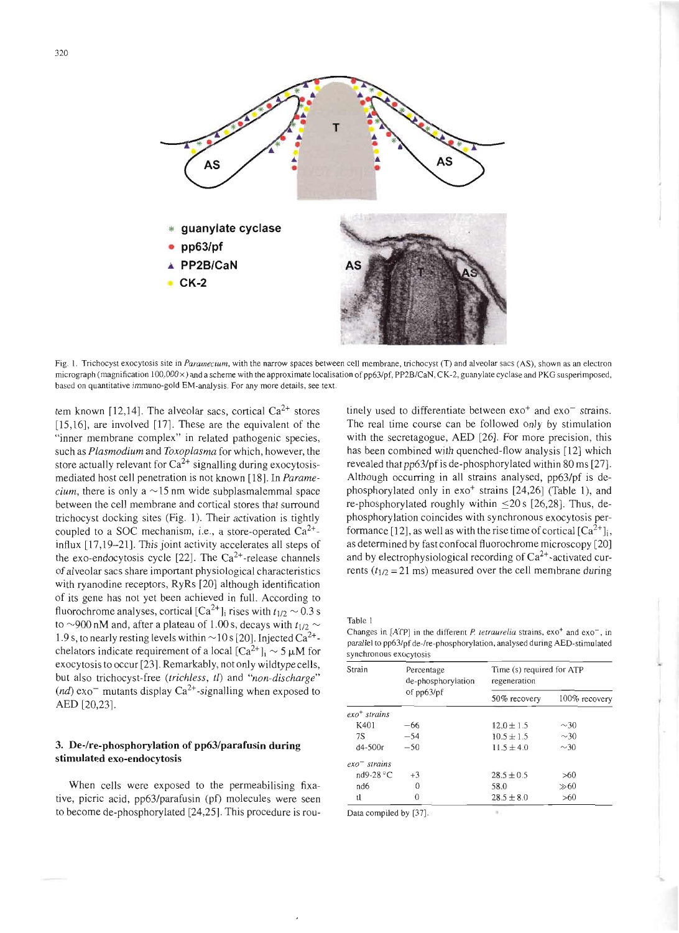

Fig. l. Trichocyst exocytosis site in *Paramecium,* with the narrow spaces between cell membrane, trichocyst (T) and alveolar sacs (AS), shown as an electron micrograph (magnification 100,000 x) and a scheme with the approximate localisation of pp63/pf, PP2B/CaN, CK-2, guanylate cyclase and PKG susperimposed, based on quantitative imrnuno-gold EM-analysis. For any more details, see text.

tem known [12,14]. The alveolar sacs, cortical  $Ca^{2+}$  stores  $[15,16]$ , are involved  $[17]$ . These are the equivalent of the "inner membrane complex" in related pathogenic species, such as *Plasmodium* and *Toxoplasma* for which, however, the store actually relevant for  $Ca^{2+}$  signalling during exocytosismediated host cell penetration is not known [18]. In *Paramecium*, there is only a  $\sim$  15 nm wide subplasmalemmal space between the cell membrane and cortical stores that surround trichocyst docking sites (Fig. 1). Their activation is tightly coupled to a SOC mechanism, i.e., a store-operated  $Ca^{2+}$ influx [17,19-21]. This joint activity accelerates all steps of the exo-endocytosis cycle [22]. The  $Ca^{2+}$ -release channels of alveolar sacs share important physiological characteristics with ryanodine receptors, RyRs [20] although identification of its gene has not yet been achieved in full. According to fluorochrome analyses, cortical [Ca<sup>2+</sup>]<sub>i</sub> rises with  $t_{1/2}$   $\sim$  0.3 s to  $\sim$ 900 nM and, after a plateau of 1.00 s, decays with  $t_{1/2} \sim$ 1.9 s, to nearly resting levels within  $\sim$  10 s [20]. Injected Ca<sup>2+</sup>chelators indicate requirement of a local  $[Ca^{2+}]_i \sim 5 \mu M$  for exocytosis to occur [23]. Remarkably, not only wildtype cells, but also trichocyst-free *(trichless,* tl) and *"non-discharge"*  $(nd)$  exo<sup>-</sup> mutants display Ca<sup>2+</sup>-signalling when exposed to AED [20,23].

# **3. De-/re-phosphorylation of pp63/parafusin during stimulated exo-endocytosis**

When cells were exposed to the permeabilising fixative, picric acid, pp63/parafusin (pt) molecules were seen to become de-phosphorylated [24,25]. This procedure is rou-

tinely used to differentiate between  $exo<sup>+</sup>$  and  $exo<sup>-</sup>$  strains. The real time course can be followed only by stimulation with the secretagogue, AED [26]. For more precision, this has been combined with quenched-flow analysis [12] which revealed that pp63/pf is de-phosphory lated within 80 ms [27]. Although occurring in all strains analysed, pp63/pf is dephosphorylated only in exo<sup>+</sup> strains [24,26] (Table 1), and re-phosphorylated roughly within  $\leq$ 20 s [26,28]. Thus, dephosphorylation coincides with synchronous exocytosis performance [12], as well as with the rise time of cortical  $\lceil Ca^{2+} \rceil$ ; as determined by fast confocal fluorochrome microscopy [20] and by electrophysiological recording of  $Ca^{2+}$ -activated currents ( $t_{1/2}$  = 21 ms) measured over the cell membrane during

Table 1

Changes in [ATP] in the different *P. tetraurelia* strains, exo<sup>+</sup> and exo<sup>-</sup>, in parallel to pp63/pf de-/re-phosphorylation, analysed during AED-stimulated synchronous exocytosis

| Strain                       | Percentage<br>de-phosphorylation<br>of $pp63/pf$ | Time (s) required for ATP<br>regeneration |               |
|------------------------------|--------------------------------------------------|-------------------------------------------|---------------|
|                              |                                                  | 50% recovery                              | 100% recovery |
| $\epsilon x \circ t$ strains |                                                  |                                           |               |
| K401                         | -66                                              | $12.0 \pm 1.5$                            | $\sim$ 30     |
| 7S                           | $-54$                                            | $10.5 \pm 1.5$                            | $\sim$ 30     |
| $d4 - 500r$                  | $-50$                                            | $11.5 \pm 4.0$                            | $\sim$ 30     |
| $exo$ <sup>-</sup> strains   |                                                  |                                           |               |
| $nd9-28 °C$                  | $+3$                                             | $28.5 \pm 0.5$                            | >60           |
| nd6                          | 0                                                | 58.0                                      | $\gg 60$      |
| tl                           | 0                                                | $28.5 \pm 8.0$                            | >60           |
| Data compiled by [37]        |                                                  | в.                                        |               |

Data compued by  $[37]$ .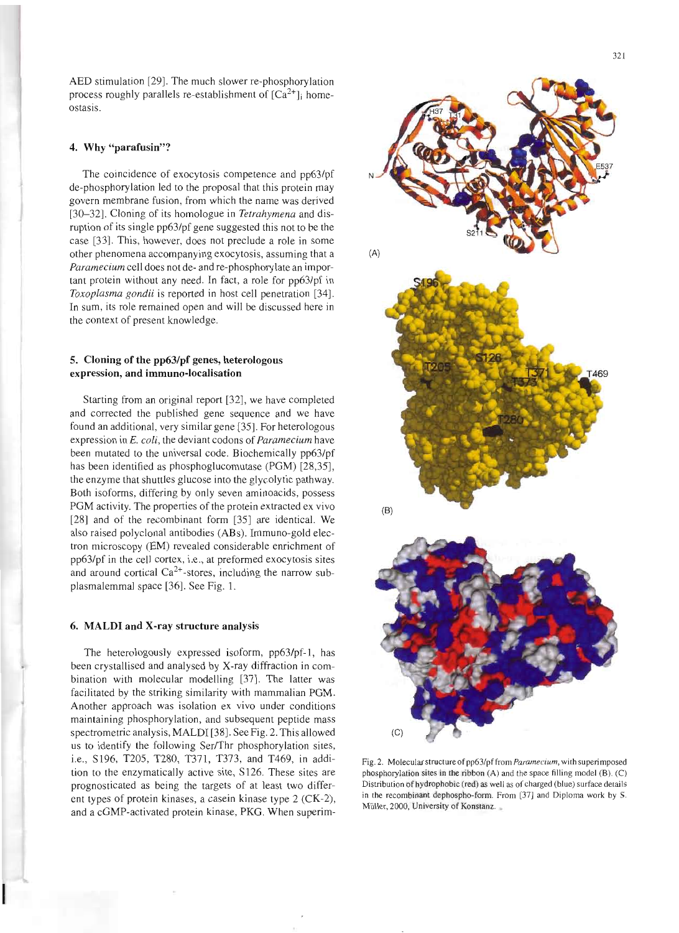AED stimulation [29]. The much slower re-phosphorylation process roughly parallels re-establishment of  $[Ca^{2+}]$  homeostasis.

#### **4. Why "parafusin"?**

The coincidence of exocytosis competence and pp63/pf de-phosphorylation led to the proposal that this protein may govern membrane fusion, from which the name was derived [30-32]. Cloning of its homologue in *Tetrahymena* and disruption of its single pp63/pf gene suggested this not to be the case [33]. This, however, does not preclude a role in some other phenomena accompanying exocytosis, assuming that a *Paramecium* cell does not de- and re-phosphorylate an important protein without any need. In fact, a role for pp63/pf in *Toxoplasma gondii* is reported in host cell penetration [34]. In sum, its role remained open and will be discussed here in the context of present knowledge.

## **5. Cloning of the pp63/pf** genes, **heterologous expression, and immuno-Iocalisation**

Starting from an original report [32], we have completed and corrected the published gene sequence and we have found an additional, very similar gene [35]. For heterologous expression in E. *coli,* the deviant codons of *Paramecium* have been mutated to the universal code. Biochemically pp63/pf has been identified as phosphoglucomutase (PGM) [28,35], the enzyme that shuttles glucose into the glycolytic pathway. Both isoforms, differing by only seven aminoacids, possess PGM activity. The properties of the protein extracted ex vivo [28] and of the recombinant form [35] are identical. We also raised polyclonal antibodies (ABs). Immuno-gold electron microscopy (EM) revealed considerable enrichment of pp63/pf in the cell cortex, i.e., at preformed exocytosis sites and around cortical  $Ca^{2+}$ -stores, including the narrow subplasmalemma] space [36]. See Fig. 1.

#### **6. MALDI and X-ray structure analysis**

The heterologously expressed isoform, pp63/pf-l, has been crystallised and analysed by X-ray diffraction in combination with molecular modelling [37]. The latter was facilitated by the striking similarity with mammalian PGM. Another approach was isolation ex vivo under conditions maintaining phosphorylation, and subsequent peptide mass spectrometric analysis, MALDI [38]. See Fig. 2. This allowed us to identify the following Ser/Thr phosphorylation sites, i.e., S196, T205, T280, T371, T373, and T469, in addition to the enzymatically active site, S126. These sites are prognosticated as being the targets of at least two different types of protein kinases, a casein kinase type 2 (CK-2), and a cGMP-activated protein kinase, PKG. When superim-



Fig. 2. Molecular structure of pp63/pf from *Paramecium*, with superimposed phosphorylation sites in the ribbon (A) and the space filling model (B). (C) Distribution of hydrophobic (red) as well as of charged (blue) surface details in the recombinant dephospho-forrn. From [37] and Diploma work by S. Müller, 2000, University of Konstanz.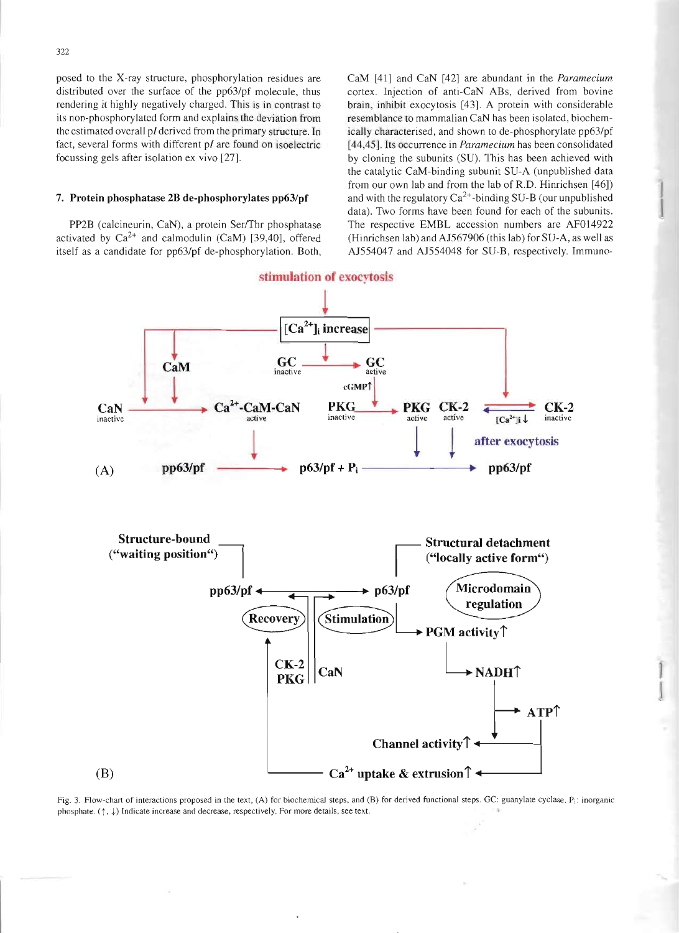posed to the X-ray structure, phosphorylation residues are distributed over the surface of the pp63/pf molecule, thus rendering it highly negatively charged. This is in contrast to its non-phosphorylated form and explains the deviation from the estimated overall pl derived from the primary structure. In fact, several forms with different *pI* are found on isoelectric focussing gels after isolation ex vivo [27].

## 7. Protein phosphatase 28 de-phosphorylates pp63/pf

PP2B (calcineurin, CaN), a protein Ser/Thr phosphatase activated by  $Ca^{2+}$  and calmodulin (CaM) [39,40], offered itself as a candidate for pp63/pf de-phosphorylation. Both, CaM [41] and CaN [42] are abundant in the *Paramecium* cortex. Injection of anti-CaN ABs, derived from bovine brain, inhibit exocytosis [43]. A protein with considerable resemblance to mammalian CaN has been isolated, biochemically characterised. and shown to de-phosphorylate pp63/pf [44,45]. Its occurrence in *Paramecium* has been consolidated by cloning the subunits (SU). This has been achieved with the catalytic CaM-binding subunit SU-A (unpublished data from our own lab and from the lab of R.D. Hinrichsen [46]) and with the regulatory  $Ca^{2+}$ -binding SU-B (our unpublished data). Two forms have been found for each of the subunits. The respective EMBL accession numbers are AF014922 (Hinrichsen lab) and AJ567906 (this lab) for SU-A, as well as AJ554047 and AJ554048 for SU-B, respectively. Immuno-



Fig. 3. Flow-chart of interactions proposed in the text, (A) for biochemical steps, and (B) for derived functional steps. GC: guanylate cyclase. P<sub>i</sub>: inorganic phosphate.  $(\uparrow, \downarrow)$  Indicate increase and decrease, respectively. For more details, see text.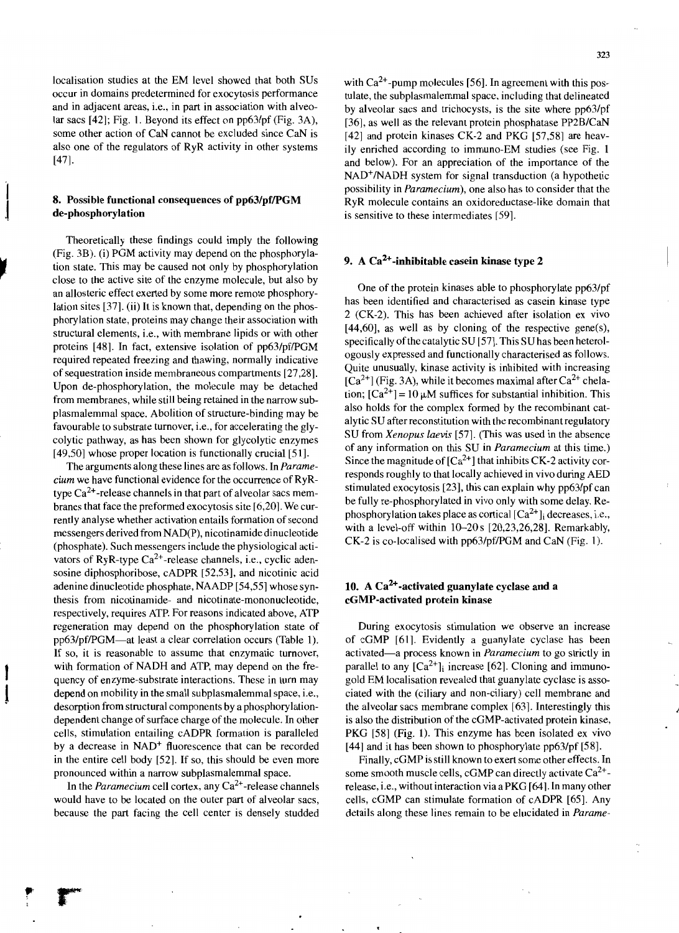localisation studies at the EM level showed that both SUs occur in domains predetermined for exocytosis performance and in adjacent areas, i.e., in part in association with alveolar sacs [42]; Fig. 1. Beyond its effect on pp63/pf (Fig. 3A), some other action of CaN cannot be excluded since CaN is also one of the regulators of RyR activity in other systems [47].

# 8. Possible functional consequences of pp63/pf/PGM de-phosphorylation

Theoretically these findings could imply the following (Fig. 3B). (i) PGM activity may depend on the phosphorylation state. This may be caused not only by phosphorylation close to the active site of the enzyme molecule, but also by an allosteric effect exerted by some more remote phosphorylation sites [37]. (ii) It is known that, depending on the phosphorylation state, proteins may change their association with structural elements, i.e., with membrane lipids or with other proteins [48]. In fact, extensive isolation of pp63/pf/PGM required repeated freezing and thawing, normally indicative of sequestration inside membraneous compartments [27 ,28]. Upon de-phosphorylation, the molecule may be detached from membranes, while still being retained in the narrow subplasmalemmal space. Abolition of structure-binding may be favourable to substrate turnover, i.e., for accelerating the glycolytic pathway, as has been shown for glycolytic enzymes [49,50] whose proper location is functionally crucial [51].

The arguments along these lines are as follows. In *Paramecium* we have functional evidence for the occurrence of RyRtype  $Ca^{2+}$ -release channels in that part of alveolar sacs membranes that face the preformed exocytosis site [6,20]. We currently analyse whether activation entails formation of second messengers derived from NAD(P), nicotinamide dinucleotide (phosphate). Such messengers include the physiological activators of RyR-type  $Ca^{2+}$ -release channels, i.e., cyclic adensosine diphosphoribose, cADPR [52,53], and nicotinic acid adenine dinucleotide phosphate, NAADP [54,55] whose synthesis from nicotinamide- and nicotinate-mononucleotide, respectively, requires ATP. For reasons indicated above, ATP regeneration may depend on the phosphorylation state of pp63/pf/PGM-at least a clear correlation occurs (Table 1). If so, it is reasonable to assume that enzymatic turnover, with formation of NADH and ATP, may depend on the frequency of enzyme-substrate interactions. These in turn may depend on mobility in the small subplasmalemmal space, i.e., desorption from structural components by a phosphorylationdependent change of surface charge of the molecule. In other cells, stimulation entailing cADPR formation is paralleled by a decrease in NAD+ fluorescence that can be recorded in the entire cell body [52]. If so, this should be even more pronounced within a narrow subplasmalemmal space.

In the *Paramecium* cell cortex, any  $Ca^{2+}$ -release channels would have to be located on the outer part of alveolar sacs, because the part facing the cell center is densely studded

with  $Ca<sup>2+</sup>$ -pump molecules [56]. In agreement with this postulate, the subplasmalemmal space, including that delineated by alveolar sacs and trichocysts, is the site where pp63/pf [36], as well as the relevant protein phosphatase PP2B/CaN [42] and protein kinases CK-2 and PKG [57,58] are heavily enriched according to immuno-EM studies (see Fig. 1 and below). For an appreciation of the importance of the NAD<sup>+</sup>/NADH system for signal transduction (a hypothetic possibility in *Paramecium),* one also has to consider that the RyR molecule contains an oxidoreductase-like domain that is sensitive to these intermediates [59].

# 9. A  $Ca<sup>2+</sup>$ -inhibitable casein kinase type 2

One of the protein kinases able to phosphorylate pp63/pf has been identified and characterised as casein kinase type 2 (CK-2). This has been achieved after isolation ex vivo [44,60], as well as by cloning of the respective gene(s), specifically of the catalytic SU [57]. This SU has been heterologously expressed and functionally characterised as follows. Quite unusually, kinase activity is inhibited with increasing  $[Ca^{2+}]$  (Fig. 3A), while it becomes maximal after  $Ca^{2+}$  chelation;  $[Ca^{2+}] = 10 \mu M$  suffices for substantial inhibition. This also holds for the complex formed by the recombinant catalytic SU after reconstitution with the recombinantregulatory SU from *Xenopus laevis* [57]. (This was used in the absence of any information on this SU in *Paramecium* at this time.) Since the magnitude of  $[Ca^{2+}]$  that inhibits CK-2 activity corresponds roughly to that locally achieved in vivo during AED stimulated exocytosis [23], this can explain why pp63/pf can be fully re-phosphorylated in vivo only with some delay. Rephosphorylation takes place as cortical  $[Ca^{2+}]_i$  decreases, i.e., with a level-off within  $10-20s$  [20,23,26,28]. Remarkably,  $CK-2$  is co-localised with pp63/pf/PGM and CaN (Fig. 1).

# 10. A  $Ca<sup>2+</sup>$ -activated guanylate cyclase and a cGMP-activated protein kinase

During exocytosis stimulation we observe an increase of cGMP [61]. Evidently a guanylate cyclase has been activated-a process known in *Paramecium* to go strictly in parallel to any  $[Ca^{2+}]$ <sub>i</sub> increase [62]. Cloning and immunogold EM localisation revealed that guanylate cyclase is associated with the (ciliary and non-ciliary) cell membrane and the alveolar sacs membrane complex [63]. Interestingly this is also the distribution of the cGMP-activated protein kinase, PKG [58] (Fig. 1). This enzyme has been isolated ex vivo [44] and it has been shown to phosphorylate pp63/pf [58].

Finally, cGMP is still known to exert some other effects. In some smooth muscle cells, cGMP can directly activate  $Ca^{2+}$ release, i.e., without interaction via a PKG [64]. In many other cells, cGMP can stimulate formation of cADPR [65]. Any details along these lines remain to be elucidated in *Parame-*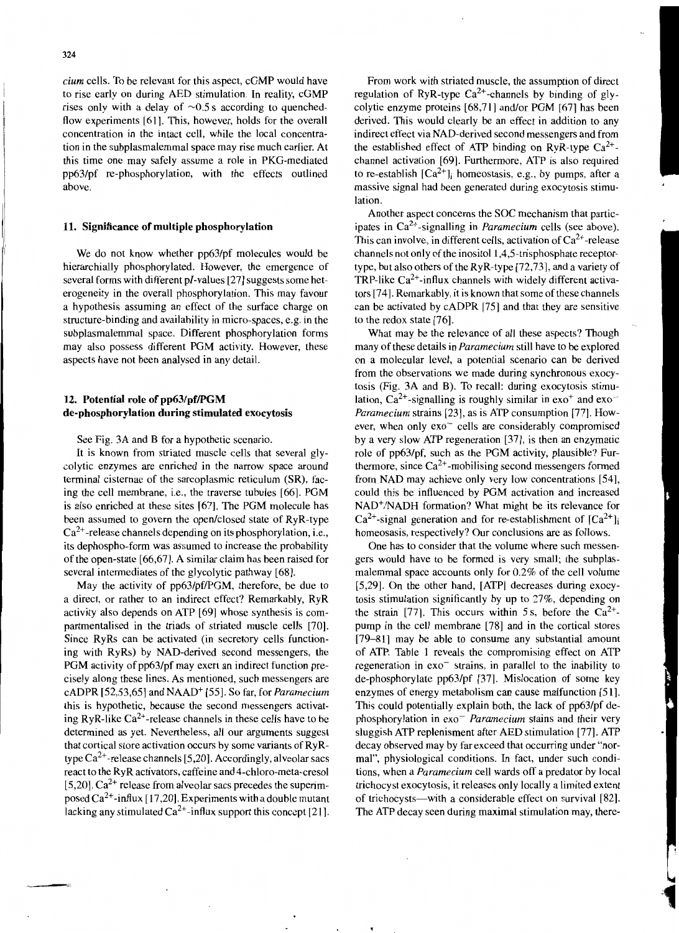*cium* cells. To be relevant for this aspect, cGMP would have to rise early on during AED stimulation. In reality, cGMP rises only with a delay of  $\sim 0.5$  s according to quenchedflow experiments [61]. This, however, holds for the overall concentration in the intact cell, while the local concentration in the subplasmalemmal space may rise much earlier. At this time one may safely assume a role in PKG-mediated pp63/pf re-phosphorylation, with the effects outlined above.

#### 11. Significance of multiple phosphorylation

We do not know whether pp63/pf molecules would be hierarchially phosphorylated. However, the emergence of several forms with different pI-values [27] suggests some heterogeneity in the overall phosphorylation. This may favour a hypothesis assuming an effect of the surface charge on structure-binding and availability in micro-spaces, e.g. in the subplasmalemmal space. Different phosphorylation forms may also possess different PGM activity. However, these aspects have not been analysed in any detail.

## 12. Potential role of pp63/pf/PGM de-phosphorylation during stimulated exocytosis

See Fig. 3A and B for a hypothetic scenario.

It is known from striated muscle cells that several glycolytic enzymes are enriched in the narrow space around terminal cisternae of the sarcoplasmic reticulum (SR), facing the cell membrane, i.e., the traverse tubules [66]. PGM is also enriched at these sites [67]. The PGM molecule has been assumed to govern the open/closed state of RyR-type  $Ca^{2+}$ -release channels depending on its phosphorylation, i.e., its dephospho-form was assumed to increase the probability of the open-state [66,67]. A similar claim has been raised for several intermediates of the glycolytic pathway [68].

May the activity of pp63/pf/PGM, therefore, be due to a direct, or rather to an indirect effect? Remarkably, RyR activity also depends on ATP [69] whose synthesis is compartmentalised in the triads of striated muscle cells [70]. Since RyRs can be activated (in secretory cells functioning with RyRs) by NAD-derived second messengers, the PGM activity of pp63/pf may exert an indirect function precisely along these lines. As mentioned, such messengers are cADPR [52,53,65] and NAAD+ [55]. So far, for *Paramecium* this is hypothetic, because the second messengers activating RyR-like  $Ca^{2+}$ -release channels in these cells have to be determined as yet. Nevertheless, all our arguments suggest that cortical store activation occurs by some variants of RyRtype  $Ca^{2+}$ -release channels [5,20]. Accordingly, alveolar sacs react to the RyR activators, caffeine and 4-chloro-meta-cresol [5,20].  $Ca^{2+}$  release from alveolar sacs precedes the superimposed  $Ca^{2+}$ -influx [17,20]. Experiments with a double mutant lacking any stimulated  $Ca^{2+}$ -influx support this concept [21].

From work with striated muscle, the assumption of direct regulation of RyR-type  $Ca^{2+}$ -channels by binding of glycolytic enzyme proteins [68,71] and/or PGM [67] has been derived. This would clearly be an effect in addition to any indirect effect via NAD-derived second messengers and from the established effect of ATP binding on RyR-type  $Ca^{2+}$ channel activation [69]. Furthermore, ATP is also required to re-establish  $[Ca^{2+}]_i$  homeostasis, e.g., by pumps, after a massive signal had been generated during exocytosis stimulation.

Another aspect concerns the SOC mechanism that participates in Ca2+-signalling in *Paramecium* cells (see above). This can involve, in different cells, activation of  $Ca^{2+}$ -release channels not only of the inositol  $1,4,5$ -trisphosphate receptortype, but also others of the RyR-type [72,73], and a variety of TRP-like  $Ca^{2+}$ -influx channels with widely different activators [74]. Remarkably, it is known that some of these channels can be activated by cADPR [75] and that they are sensitive to the redox state [76].

What may be the relevance of all these aspects? Though many of these details in *Paramecium* still have to be explored on a molecular level, a potential scenario can be derived from the observations we made during synchronous exocytosis (Fig. 3A and B). To recall: during exocytosis stimulation,  $Ca^{2+}$ -signalling is roughly similar in  $exo^+$  and  $exo^-$ *Paramecium* strains [23], as is ATP consumption [77]. However, when only  $e\text{xo}^-$  cells are considerably compromised by a very slow ATP regeneration [37], is then an enzymatic role of pp63/pf, such as the PGM activity, plausible? Furthermore, since  $Ca^{2+}$ -mobilising second messengers formed from NAD may achieve only very low concentrations [54], could this be influenced by PGM activation and increased NAD+/NADH formation? What might be its relevance for  $Ca^{2+}$ -signal generation and for re-establishment of  $[Ca^{2+}]$ <sub>i</sub> homeosasis, respectively? Our conclusions are as follows.

One has to consider that the volume where such messengers would have to be formed is very small; the subplasmalemmal space accounts only for 0.2% of the cell volume [5,29]. On the other hand, [ATP] decreases during exocytosis stimulation significantly by up to 27%, depending on the strain [77]. This occurs within 5 s, before the  $Ca^{2+}$ pump in the cell membrane [78] and in the cortical stores [79-81] may be able to consume any substantial amount of ATP. Table I reveals the compromising effect on ATP regeneration in  $e<sub>xo</sub>$  strains, in parallel to the inability to de-phosphorylate pp63/pf [37]. Mislocation of some key enzymes of energy metabolism can cause malfunction [51]. This could potentially explain both, the lack of pp63/pf dephosphorylation in exo<sup>-</sup> *Paramecium* stains and their very sluggish ATP replenisment after AED stimulation [77]. ATP decay observed may by far exceed that occurring under "normal", physiological conditions. In fact, under such conditions, when a *Paramecium* cell wards off a predator by local trichocyst exocytosis, it releases only locally a limited extent of trichocysts-with a considerable effect on survival [82]. The ATP decay seen during maximal stimulation may, there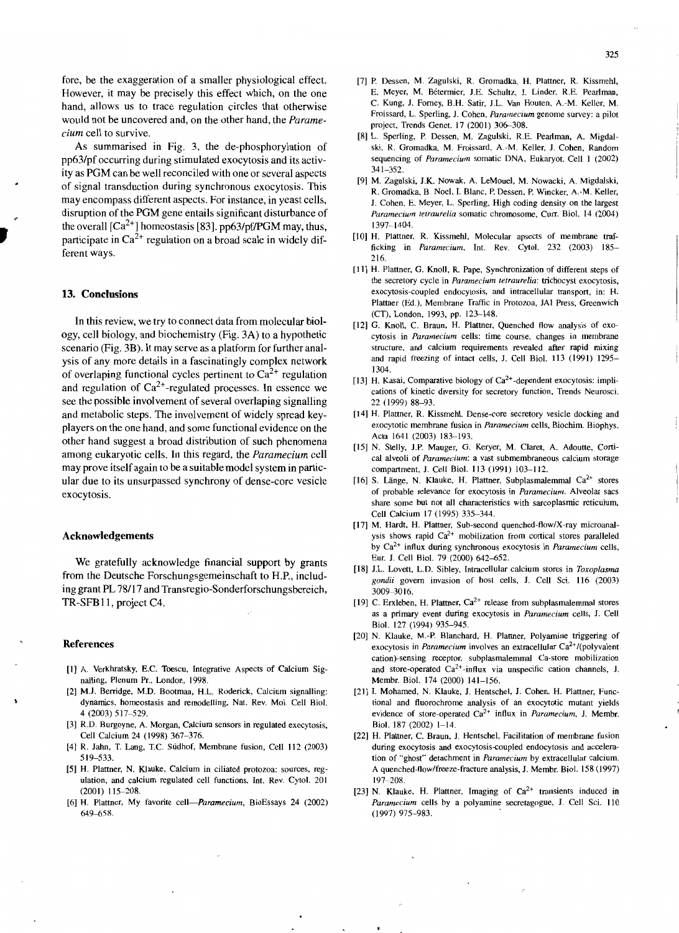fore, be the exaggeration of a smaller physiological effect. However, it may be precisely this effect which, on the one hand, allows us to trace regulation circles that otherwise would not be uncovered and, on the other hand, the *Paramecium* cell to survive.

As summarised in Fig. 3, the de-phosphorylation of pp63/pf occurring during stimulated exocytosis and its activity as PGM can be well reconciled with one or several aspects of signal transduction during synchronous exocytosis. This may encompass different aspects. For instance, in yeast cells, disruption of the PGM gene entails significant disturbance of the overall  $[Ca^{2+}]$  homeostasis [83]. pp63/pf/PGM may, thus, participate in  $Ca^{2+}$  regulation on a broad scale in widely different ways.

#### 13. Conclusions

In this review, we try to connect data from molecular biology, ce]) biology, and biochemistry (Fig. 3A) to a hypothetic scenario (Fig. 3B). It may serve as a platform for further analysis of any more details in a fascinatingly complex network of overlaping functional cycles pertinent to  $Ca^{2+}$  regulation and regulation of  $Ca^{2+}$ -regulated processes. In essence we see the possible involvement of several overlaping signalling and metabolic steps. The involvement of widely spread keyplayers on the one hand, and some functional evidence on the other hand suggest a broad distribution of such phenomena among eukaryotic cells. In this regard, the *Paramecium* cell may prove itself again to be a suitable model system in particular due to its unsurpassed synchrony of dense-core vesicle exocytosis.

#### Acknowledgements

We gratefully acknowledge financial support by grants from the Deutsche Forschungsgemeinschaft to H.P., including grant PL 78/l7 and Transregio-Sonderforschungsbereich, TR-SFB11, project C4.

#### References

- [I] A. Verkhratsky, E.C. Toescu, Integrative Aspects of Calcium Signalling, Plenum Pr., London. 1998.
- [2] MJ. Berridge, M.D. Bootman, H.L. Roderick, Calcium signalling: dynamics, homeostasis and remodelling, Nat. Rev. Mol. Cell BioI. 4 (2003) 517-529.
- [3] R.D. Burgoyne, A. Morgan, Calcium sensors in regulated exocytosis, Cell Calcium 24 (1998) 367-376.
- [4] R. Jahn, T. Lang, T.C. Siidhof, Membrane fusion. Cell 112 (2003) 519-533.
- [5] H. Plattner, N. Klauke, Calcium in ciliated protozoa: sources, regulation, and calcium regulated cell functions, Int. Rev. Cytol. 201 (2001) 115-208.
- [6] H. Plattner, My favorite cell-Paramecium, BioEssays 24 (2002) 649-658.
- [7] P. Dessen, M. Zagulski, R. Gromadka, H. Plattner, R. Kissmehl, E. Meyer, M. Betermier, 1.E. Schultz, J. Linder, *RE* Pearlman, C. Kung, J. Fomey, B.H. Satir, J.L. Van Houten, A.-M. Keller, M. Froissard, L. Sperling, J. Cohen, *Paramecium* genome survey: a pilot project, Trends Genet. 17 (2001) 306-308.
- [8] L. Sperling, P. Dessen, M. Zagulski, R.E. Pearlman, A. Migdalski, R. Gromadka, M. Froissard, A.-M. Keller, 1. Cohen, Random sequencing of *Paramecium* somatic DNA, Eukaryot. Cell 1 (2002) 341-352.
- [9] M. Zagulski, J.K. Nowak, A. LeMouel, M. Nowacki, A. Migdalski, R. Gromadka, B. Noel. I. Blanc, P. Dessen, P. Wincker, A.-M. Keller, J. Cohen, E. Meyer, L. Sperling, High coding density on the largest *Paramecium tetraurelia* somatic chromosome, Curr. Biol. 14 (2004) 1397-1404.
- [101 H. Plattner, R. Kissmehl, Molecular apsects of membrane trafficking in *Paramecium,* Int. Rev. Cytol. 232 (2003) 185- 216.
- [11] H. Plattner, G. Knoll, R. Pape, Synchronization of different steps of the secretory cycle in *Paramecium tetraurelia:* trichocyst exocytosis, exocytosis-coupled endocytosis, and intracellular transport, in: H. Plattner (Ed.), Membrane Traffic in Protozoa, JAl Press, Greenwich (CT), London, 1993, pp. 123-148.
- [12] G. Knoll, C. Braun, H. Plattner, Quenched flow analysis of exocytosis in *Paramecium* cells: time course. changes in membrane structure. and calcium requirements revealed after rapid mixing and rapid freezing of intact cells, J. Cell BioI. 113 (1991) 1295- 1304.
- [13] H. Kasai, Comparative biology of  $Ca<sup>2+</sup>$ -dependent exocytosis: implications of kinetic diversity for secretory function, Trends Neurosci. 22 (1999) 88-93.
- [14] H. Plattner. R. Kissmehl, Dense-core secretory vesicle docking and exocytotic membrane fusion in *Paramecium* cells, Biochim. Biophys. Acta 1641 (2003) 183-193.
- [15] N. Stelly, J.P. Mauger, G. Keryer, M. Claret, A. Adoutte, Cortical alveoli of *Paramecium*: a vast submembraneous calcium storage compartment, J. Cell BioI. 113 (1991) 103-112.
- [16] S. Länge, N. Klauke, H. Plattner, Subplasmalemmal  $Ca^{2+}$  stores of probable relevance for exocytosis in *Paramecium.* Alveolar sacs share some but not all characteristics with sarcoplasmic reticulum, Cell Calcium 17 (1995) 335-344.
- [17] M. Hardt, H. Plattner, Sub-second quenched-flow/X-ray microanalysis shows rapid  $Ca^{2+}$  mobilization from cortical stores paralleled by Ca<sup>2</sup> + influx during synchronous exocytosis in *Paramecium* cells, Eur. J. Cell Biol. 79 (2000) 642-652.
- [18] 1.L. Lovett, L.D. Sibley, Intracellular calcium stores in *Toxoplasma gondii* govern invasion of host cells, J. Cell Sci. 116 (2003) 3009-3016.
- [19] C. Erxleben, H. Plattner,  $Ca^{2+}$  release from subplasmalemmal stores as a primary event during exocytosis in *Paramecium* cells, J. Cell BioI. 127 (1994) 935-945.
- [20] N. Klauke, M.-P. Blanchard, H. Plattner, Polyamine triggering of exocytosis in *Paramecium* involves an extracellular Ca<sup>2+</sup>/(polyvalent cation)-sensing receptor, subplasmalemmal Ca-store mobilization and store-operated  $Ca^{2+}$ -influx via unspecific cation channels, J. Membr. BioI. 174 (2000) 141-156.
- [21] I. Mohamed, N. Klauke, J. Hentschel, J. Cohen, H. Plattner, Functional and fluorochrome analysis of an exocytotic mutant yields evidence of store-operated Ca<sup>2+</sup> influx in *Paramecium*, J. Membr. BioI. 187 (2002) 1-14.
- [22] H. Plattner, C. Braun, J. Hentschel, Facilitation of membrane fusion during exocytosis and exocytosis-coupled endocytosis and acceleration of "ghost" detachment in *Paramecium* by extracellular calcium. A quenched-flow/freeze-fracture analysis, 1. Membr. BioI. 158 (1997) 197-208.
- [23] N. Klauke, H. Plattner, Imaging of  $Ca^{2+}$  transients induced in *Paramecium* cells by a polyamine secretagogue, J. Cell Sci. 110 (1997) 975-983. .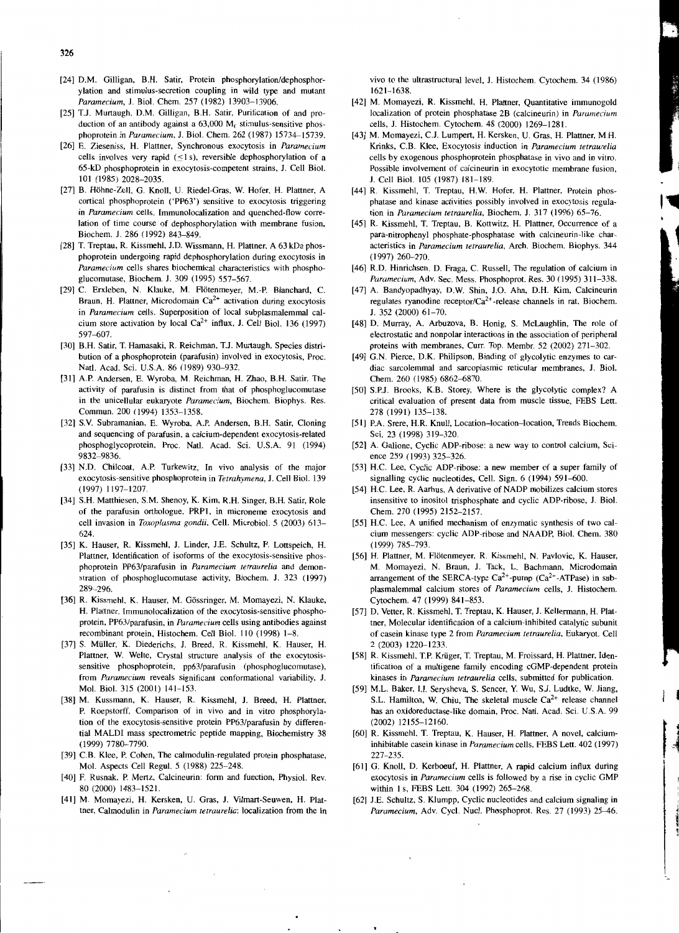- [24] D.M. Gilligan. B.H. Satir, Protein phosphorylation/dephosphorylation and stimulus-secretion coupling in wild type and mutant *Paramecium,* 1. BioI. Chem. 257 (1982) 13903-13906.
- [25] T.J. Murtaugh, D.M. Gilligan, B.H. Satir, Purification of and production of an antibody against a 63,000 M<sub>r</sub> stimulus-sensitive phosphoprotein in *Paramecium,* 1. BioI. Chem. 262 (1987) 15734-15739.
- [26] E. Zieseniss, H. Plattner, Synchronous exocytosis in *Paramecium* cells involves very rapid  $(\leq 1 \text{ s})$ , reversible dephosphorylation of a 65-kD phosphoprotein in exocytosis-competent strains, 1. Cell BioI. 101 (1985) 2028-2035.
- [27] B. Hohne-Zell, G. Knoll, U. Riedel-Gras, W. Hofer, H. Plattner, A cortical phosphoprotein ('PP63') sensitive to exocytosis triggering in *Paramecium* cells. Immunolocalization and quenched-flow correlation of time course of dephosphorylation with membrane fusion, Biochem. 1. 286 (1992) 843-849.
- [28] T. Treptau, R. Kissmehl, J.D. Wissmann, H. Plattner, A 63 kDa phosphoprotein undergoing rapid dephosphorylation during exocytosis in *Paramecium* cells shares biochemical characteristics with phosphoglucomutase, Biochem. 1. 309 (1995) 557-567.
- [29] C. Erxleben, N. Klauke, M. Flötenmeyer, M.-P. Blanchard, C. Braun, H. Plattner, Microdomain  $Ca^{2+}$  activation during exocytosis in *Paramecium* cells. Superposition of local subplasmalemmal calcium store activation by local  $Ca^{2+}$  influx, J. Cell Biol. 136 (1997) 597-607.
- [30] B.H. Satir, T. Hamasaki, R. Reichman, T.J. Murtaugh, Species distribution of a phosphoprotein (parafusin) involved in exocytosis, Proc. Natl. Acad. Sci. U.S.A. 86 (1989) 930-932.
- [31] A.P. Andersen, E. Wyroba, M. Reichman, H. Zhao, B.H. Satir. The activity of parafusin is distinct from that of phosphoglucomutase in the unicellular eukaryote *Paramecium,* Biochem. Biophys. Res. Commun. 200 (1994) 1353-1358.
- [32] S.Y. Subramanian, E. Wyroba, A.P. Andersen. B.H. Satir, Cloning and sequencing of parafusin, a calcium-dependent exocytosis-related phosphoglycoprotein, Proc. Natl. Acad. Sci. U.S.A. 91 (1994) 9832-9836.
- [33] N.D. Chilcoat, A.P. Turkewitz, In vivo analysis of the major exocytosis-sensitive phosphoprotein in *Tetrahymena,* 1. Cell BioI. 139 (1997) 1197-1207.
- [34] S.H. Matthiesen, S.M. Shenoy, K. Kim, R.H. Singer, B.H. Satir, Role of the parafusin orthologue. PRPI. in microneme exocytosis and cell invasion in *Toxoplasma gondii,* Cell. Microbiol. 5 (2003) 613- 624.
- [35] K. Hauser, R. Kissmehl, 1. Under, 1.E. Schultz, F. Lottspeich, H. Plattner, Identification of isoforms of the exocytosis-sensitive phosphoprotein PP63/parafusin in *Paramecium tetraurelia* and demonstration of phosphoglucomutase activity, Biochem. 1. 323 (1997) 289-296.
- [36] R. Kissmehl, K. Hauser, M. Gössringer, M. Momayezi, N. Klauke, H. Plattner, Immunolocalization of the exocytosis-sensitive phosphoprotein, PP63/parafusin, in *Paramecium* cells using antibodies against recombinant protein, Histochem. Cell BioI. I 10 (1998) 1-8.
- [37] S. Muller, K. Diederichs, 1. Breed. R. Kissmehl, K. Hauser, H. Plattner, W. Welte, Crystal structure analysis of the exocytosissensitive phosphoprotein, pp63/parafusin (phosphoglucomutase), from *Paramecium* reveals significant conformational variability, 1. Mol. BioI. 315 (2001) 141-153.
- [38] M. Kussmann, K. Hauser, R. Kissmehl, 1. Breed, H. Plattner, P. Roepstorff, Comparison of in vivo and in vitro phosphorylation of the exocytosis-sensitive protein PP63/parafusin by differential MALDI mass spectrometric peptide mapping, Biochemistry 38 (1999) 7780--7790.
- [39] C.B. Klee, P. Cohen, The calmodulin-regulated protein phosphatase, Mol. Aspects Cell Regul. 5 (1988) 225-248.
- [40] F. Rusnak, P. Mertz, Calcineurin: form and function, Physiol. Rev. 80 (2000) 1483-1521.
- [41] M. Momayezi, H. Kersken, U. Gras, 1. Vilmart-Seuwen, H. Plattner. Calmodulin in *Paramecium tetraurelia:* localization from the in

vivo to the ultrastructural level, 1. Histochem. Cytochem. 34 (1986) 1621-1638.

- [42] M. Momayezi, R. Kissmehl, H. Plattner, Quantitative immunogold localization of protein phosphatase 2B (calcineurin) in *Paramecium* cells, 1. Histochem. Cytochem. 48 (2000) 1269-1281.
- [43] M. Momayezi, CJ. Lumpert, H. Kersken, U. Gras, H. Plattner, M.H. Krinks, C.B. Klee, Exocytosis induction in *Paramecium tetraurelia* cells by exogenous phosphoprotein phosphatase in vivo and in vitro. Possible involvement of calcineurin in exocytotic membrane fusion, 1. Cell BioI. 105 (1987) 181-189.
- [44] R. Kissmehl, T. Treptau, H.W. Hofer, H. Plattner, Protein phosphatase and kinase activities possibly involved in exocytosis regulation in *Paramecium tetraurelia,* Biochem. 1. 317 (1996) 65-76.
- [45] R. Kissmehl, T. Treptau, B. Kottwitz, H. Plattner, Occurrence of a para-nitrophenyl phosphate-phosphatase with calcineurin-like characteristics in *Paramecium tetraurelia,* Arch. Biochem. Biophys. 344  $(1997)$  260-270.
- [46] R.D. Hinrichsen, D. Fraga, C. Russell, The regulation of calcium in *Paramecium,* Adv. Sec. Mess. Phosphoprot. Res. 30 (1995) 311-338.
- [47] A. Bandyopadhyay, D.W. Shin, J.O. Ahn, D.H. Kim, Calcineurin regulates ryanodine receptor/Ca<sup>2+</sup>-release channels in rat, Biochem. 1. 352 (2000) 61-70.
- [48] D. Murray, A. Arbuzova, B. Honig, S. McLaughlin, The role of electrostatic and nonpolar interactions in the association of peripheral proteins with membranes, Curr. Top. Membr. 52 (2002) 271-302.
- [49] G.N. Pierce, D.K. Philipson, Binding of glycolytic enzymes to cardiac sarcolemmal and sarcoplasmic reticular membranes, 1. BioI. Chem. 260 (1985) 6862-6870.
- [50] S.PJ. Brooks, K.B. Storey, Where is the glycolytic complex? A critical evaluation of present data from muscle tissue, FEBS Lett. 278 (1991) 135-138.
- [51] P.A. Srere, H.R. Knull, Location-location-location, Trends Biochem. Sci. 23 (1998) 319-320.
- [52] A. Galione, Cyclic ADP-ribose: a new way to control calcium, Science 259 (1993) 325-326.
- [53] H.C. Lee, Cyclic ADP-ribose: a new member of a super family of signalling cyclic nucleotides, Cell. Sign. 6 (1994) 591-600.
- [54] H.c. Lee, R. Aarhus, A derivative of NADP mobilizes calcium stores insensitive to inositol trisphosphate and cyclic ADP-ribose, 1. BioI. Chem. 270 (1995) 2152-2157.
- [55] H.C. Lee, A unified mechanism of enzymatic synthesis of two calcium messengers: cyclic ADP-ribose and NAADP, BioI. Chem. 380 (1999) 785-793.
- [56] H. Plattner, M. Flötenmeyer, R. Kissmehl, N. Pavlovic, K. Hauser, M. Momayezi, N. Braun, 1. Tack, L. Bachmann, Microdomain arrangement of the SERCA-type  $Ca^{2+}$ -pump ( $Ca^{2+}$ -ATPase) in subplasmalemmal calcium stores of *Paramecium* cells, 1. Histochem. Cytochem. 47 (1999) 841-853.
- [57] D. Vetter, R. Kissmehl, T. Treptau, K. Hauser, J. Kellermann, H. Plattner, Molecular identification of a calcium-inhibited catalytic subunit of casein kinase type 2 from *Paramecium tetraurelia,* Eukaryot. Cell 2 (2003) 1220-1233.
- [58] R. Kissmehl, T.P. Krüger, T. Treptau, M. Froissard, H. Plattner, Identification of a multigene family encoding cGMP-dependent protein kinases in *Paramecium tetraurelia* cells, submitted for publication.
- [59] M.L. Baker, I.I. Serysheva, S. Sencer, Y. Wu, S.J. Ludtke, W. Jiang, S.L. Hamilton, W. Chiu, The skeletal muscle  $Ca^{2+}$  release channel has an oxidoreductase-like domain, Proc. Natl. Acad. Sci. U.S.A. 99 (2002) 12155-12160.
- [60] R. Kissmehl, T. Treptau, K. Hauser, H. Plattner, A novel, calciuminhibitable casein kinase in *Paramecium* cells. FEBS Lett. 402 (1997) 227-235.
- [61] G. Knoll, D. Kerboeuf, H. Plattner, A rapid calcium influx during exocytosis in *Paramecium* cells is followed by a rise in cyclic GMP within I s, FEBS Lett. 304 (1992) 265-268.
- [62] 1.E. Schultz, S. Klumpp, Cyclic nucleotides and calcium signaling in Paramecium, Adv. Cycl. Nucl. Phosphoprot. Res. 27 (1993) 25-46.